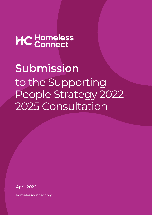## HC Homeless

to the Supporting People Strategy 2022- 2025 Consultation **Submission**

April 2022

homelessconnect.org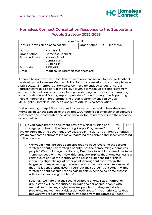## **Homeless Connect Consultation Response to the Supporting People Strategy 2022-2025**

| <b>Your Details</b>                 |                                  |   |            |  |  |  |
|-------------------------------------|----------------------------------|---|------------|--|--|--|
| Is this submission on behalf of an: | Organisation                     | X | Individual |  |  |  |
| Name:                               | <b>Mark Baillie</b>              |   |            |  |  |  |
| Organisation:                       | <b>Homeless Connect</b>          |   |            |  |  |  |
| <b>Postal Address:</b>              | Mallusk Road                     |   |            |  |  |  |
|                                     | <b>Central Park</b>              |   |            |  |  |  |
|                                     | Building 14                      |   |            |  |  |  |
| Postcode:                           | <b>BT36 4FS</b>                  |   |            |  |  |  |
| Email:                              | mark.baillie@homelessconnect.org |   |            |  |  |  |

It should be noted at the outset that this response has been informed by feedback received by the Homeless Connect Policy Forum at a meeting which took place on April 5 2022. All members of Homeless Connect are entitled to put forward a representative to be a part of the Policy Forum. It is made up of senior staff from across the homelessness sector including a wide range of providers of temporary accommodation and floating support providers funded through the Supporting People (hereafter SP) programme. The group is currently chaired by Gail McLaughlin, Homeless Services Manager at Ark Housing Association.

At the meeting on April 5, a structured conversation was held to hear the views of members on various aspects of the strategy. Our public policy officer then captured comments and incorporated the views of policy forum members in to the response set out below.

| 1 | Do you agree that the document provides a clear mission and                                                                                                                                                                                                                                                                                                                                                                                                                                                                                                                                                                                                                                                                                     | <b>YES</b> | <b>NO</b> |
|---|-------------------------------------------------------------------------------------------------------------------------------------------------------------------------------------------------------------------------------------------------------------------------------------------------------------------------------------------------------------------------------------------------------------------------------------------------------------------------------------------------------------------------------------------------------------------------------------------------------------------------------------------------------------------------------------------------------------------------------------------------|------------|-----------|
|   | strategic priorities for the Supporting People Programme?                                                                                                                                                                                                                                                                                                                                                                                                                                                                                                                                                                                                                                                                                       | X          |           |
|   | We do agree that the document provides a clear mission and strategic priorities.<br>We do have some comments to make regarding the content and specific wording<br>of the priorities.                                                                                                                                                                                                                                                                                                                                                                                                                                                                                                                                                           |            |           |
|   | We would highlight three concerns that we have regarding the second<br>1.<br>strategic priority. This strategic priority uses the phrase "single homeless"<br>people." We would urge the Housing Executive to avoid the use of the term<br>'homeless people.' In our view, this language implies that homelessness is a<br>constitutive part of the identity of the person experiencing it. This is<br>inherently stigmatising. At other points throughout the strategy the<br>language of "experiencing homelessness" is used. We would recommend<br>that this is consistently used throughout the strategy. Consequently, this<br>strategic priority should read "single people experiencing homelessness<br>with alcohol and drug problems." |            |           |
|   | Secondly, we note that the second strategic priority lists a number of<br>groups who will be "prioritised" including "older people, people with<br>mental health issues; single homeless people with drug and alcohol<br>problems; and women at risk of domestic abuse." The priority states that                                                                                                                                                                                                                                                                                                                                                                                                                                               |            |           |

this work will "be underpinned by evidence from the Strategic Needs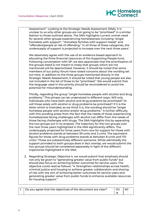

Assessment". Looking at the Strategic Needs Assessment (SNA), it is unclear to us why other groups are not going to be "prioritised" in a similar fashion to those outlined above. The SNA highlights current unmet need for several other groups experiencing homelessness including "single homeless with support", "Homeless families with support needs" and "offenders/people at risk of offending." In all three of these categories, the undersupply of support is projected to increase over the next three years.<sup>1</sup>

We absolutely agree with the use of an evidence-based approach to allocating the finite financial resources of the Supporting People fund. Following conversation with SP, we also appreciate that the prioritisation of the groups listed is not meant to imply that groups which are not mentioned will be deprioritised. However, it should be noted that some members of our policy forum have raised concerns about the wording set out here. In addition to the three groups mentioned directly in the Strategic Needs Assessment, it should be noted that young people are also not included in the list of those to be "prioritised." We would submit that the language used in this priority should be reconsidered to avoid the potential for misunderstanding.

Thirdly, regarding the group "single homeless people with alcohol and drug problems." This phrase can be understood in different ways. Will only individuals who have both alcohol and drug problems be prioritised? Or will those solely with alcohol or drug problems be prioritised? If it is the latter which is intended, as we think it is, the wording should be "single homeless people with alcohol and/or drug problems." A further difficulty with this wording arises from the fact that the needs of those experiencing homelessness facing challenges with alcohol can differ from the needs of those facing challenges with drugs. The SNA highlights this by separating the two groups out in its analysis. The trajectory for the two groups over the next three years highlighted in the SNA significantly differs. The undersupply projected for three years from now for support for those with alcohol problems stands at between 59 units and 3 units. The equivalent figures for those with drug problems stands at between 8 units and 170 units. <sup>2</sup> Those are substantively different scenarios. While admittedly the support provided to both groups does in fact overlap, we would submit the two groups should be considered separately in light of the different trajectories highlighted in the SNA.

2. Regarding Strategic Objective 4, we would submit that emphasis should not only be given to "generating greater value from public funds" but should also focus on achieving better outcomes for service users. The objective could read as follows: "4. Strengthen relationships across health, criminal justice and housing to achieve greater collaboration and sharing of risk with the aim of achieving better outcomes for service users and generating greater value from public funds to enhance available resources for housing support."

| $\mid$ 2 $\mid$ Do you agree that the objectives of the document are clear? | <b>YES</b> | NC. |
|-----------------------------------------------------------------------------|------------|-----|
|                                                                             |            |     |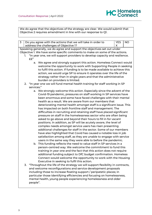

We do agree that the objectives of the strategy are clear. We would submit that Objective 2 requires amendment in line with our response to Q1.

| 3                                                                        |                                                                        |            | Do you agree with the actions that we will take in order to                       | <b>YES</b> | <b>NO</b> |
|--------------------------------------------------------------------------|------------------------------------------------------------------------|------------|-----------------------------------------------------------------------------------|------------|-----------|
|                                                                          |                                                                        |            | address the challenges of Objective 1?                                            | X          |           |
| Speaking generally, we do agree and support the objectives set out under |                                                                        |            |                                                                                   |            |           |
|                                                                          |                                                                        |            | Objective 1. We have some specific comments to make on some of the actions.       |            |           |
|                                                                          | 1.                                                                     |            | "In year one, we will support providers to develop capacity and resilience.       |            |           |
|                                                                          |                                                                        | ££"        |                                                                                   |            |           |
|                                                                          |                                                                        |            | a. We agree and strongly support this action. Homeless Connect would              |            |           |
|                                                                          |                                                                        |            | welcome the opportunity to work with Supporting People in seeking                 |            |           |
|                                                                          |                                                                        |            | to fulfil this action. If funding is to be made available to achieve this         |            |           |
|                                                                          |                                                                        |            | action, we would urge SP to ensure it operates over the life of the               |            |           |
|                                                                          |                                                                        |            | strategy rather than in single years and that the administrative                  |            |           |
|                                                                          |                                                                        |            | burden on providers is limited.                                                   |            |           |
|                                                                          |                                                                        |            | 2. "In year one we will fund mental health training for staff working in SP       |            |           |
|                                                                          |                                                                        | services." |                                                                                   |            |           |
|                                                                          |                                                                        |            | a. We strongly welcome this action. Especially since the advent of the            |            |           |
|                                                                          |                                                                        |            | Covid-19 pandemic, pressures on staff working in SP services have                 |            |           |
|                                                                          |                                                                        |            | been enormous and some have faced challenges with their mental                    |            |           |
|                                                                          |                                                                        |            | health as a result. We are aware from our members that                            |            |           |
|                                                                          |                                                                        |            | deteriorating mental health amongst staff is a significant issue. This            |            |           |
|                                                                          | has impacted on both frontline staff and management. The               |            |                                                                                   |            |           |
|                                                                          | difficulties in recruiting and retaining staff have placed significant |            |                                                                                   |            |           |
|                                                                          | pressure on staff in the homelessness sector who are often being       |            |                                                                                   |            |           |
|                                                                          |                                                                        |            | asked to go above and beyond their hours to fill in for vacant                    |            |           |
|                                                                          |                                                                        |            | positions. In addition, as SP will be acutely aware, the level of                 |            |           |
|                                                                          |                                                                        |            | complex needs amongst service users has risen presenting                          |            |           |
|                                                                          |                                                                        |            | additional challenges for staff in the sector. Some of our members                |            |           |
|                                                                          |                                                                        |            | have also highlighted that Covid has caused a notable loss in job                 |            |           |
|                                                                          |                                                                        |            | satisfaction among staff, as they are unable to engage with service               |            |           |
|                                                                          |                                                                        |            | users in the same way they were able to before the pandemic.                      |            |           |
|                                                                          |                                                                        |            | b. This funding reflects the need to value staff in SP services in a              |            |           |
|                                                                          |                                                                        |            | person-centred way. We welcome the commitment to fund this                        |            |           |
|                                                                          |                                                                        |            | training in year one and the fact that this action does not require               |            |           |
|                                                                          |                                                                        |            | additional funding subject to DfC budget confirmation. Homeless                   |            |           |
|                                                                          |                                                                        |            | Connect would welcome the opportunity to work with the Housing                    |            |           |
|                                                                          |                                                                        |            | Executive in seeking to fulfil this action.                                       |            |           |
|                                                                          |                                                                        |            | 3. "Throughout the life of the strategy we will support flexibility in contracts, |            |           |
|                                                                          |                                                                        |            | and welcome reconfigurations and service development proposals                    |            |           |

including those to increase floating support / peripatetic places; in particular those identifying efficiencies and focusing on homelessness, mental health, young people experiencing homelessness and older people".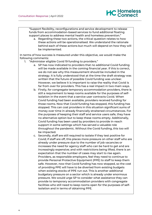

"Support flexibility, reconfigurations and service development to release funds from accommodation-based services to fund additional floating support places to address mental health and homeless prevention."

a. Regarding these two actions, the critical question relates to how these actions will be operationalised. We understand the rationale behind each of these actions but much will depend on how they will be implemented.

In terms of how success is measured under this objective, we would make the following comments:

- 1. "Administer eligible Covid 19 funding to providers."
	- a. SP has now indicated to providers that no additional Covid funding will be made available in the coming financial year. If this is correct, we do not see why this measurement should be included in the strategy. It is fully understood that at the time the draft strategy was written that the future of possible Covid funding was unclear. However, we believe it is important to raise the reality that Covid is far from over for providers. This has a real impact in two main ways.
	- b. Firstly, for congregate temporary accommodation providers, there is still a requirement to keep rooms available for the purposes of selfisolation in the event that a service user contracts Covid. When Covid funding had been available, providers received funding for those rooms. Now that Covid funding has stopped, this funding has stopped. This can cost providers in this situation significant sums of money over time in already financially straitened circumstances. For the purposes of keeping their staff and service users safe, they have no alternative option but to keep these rooms empty. Additionally, Covid funding has been used by providers to provide in-reach support in some settings which has served a valuable role throughout the pandemic. Without the Covid funding, this too will be impacted.
	- c. Secondly, staff are still required to isolate if they test positive for Covid; if staff are off, this places more pressure on other staff who are already under pressure due to the number of job vacancies or increases the need for agency staff who can be hard to get and are increasingly expensive; and with restrictions being lifted, there is an expectation that the number of cases may start to rise again. Providers, as responsible employers, feel they need to continue to provide Personal Protective Equipment (PPE) to staff to keep them safe. However, now that Covid funding has now stopped, so the cost of providing PPE will have to be diverted from existing budgets when existing stocks of PPE run out. This is another additional budgetary pressure on a sector which is already under enormous pressure. We would urge SP to consider what assistance they can provide to temporary accommodation providers with congregate facilities who still need to keep rooms open for the purposes of selfisolation and in terms of obtaining PPE.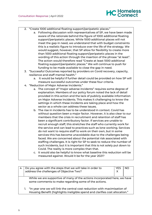

- 2. "Create 1000 additional floating support/peripatetic places."
	- a. Following discussion with representatives of SP, we have been made aware of the rationale behind the figure of 1000 additional floating support/peripatetic places. While 1000 additional places will not meet the gap in need, we understand that with budget constraints this is a realistic figure to introduce over the life of the strategy. We would suggest, however, that SP allow for flexibility to create more than 1000 additional floating support/peripatetic places in the wording of this action through the insertion of the phrase "at least". The action would therefore read "Create at least 1000 additional floating support/peripatetic places." We will continue to push for funding to be made available to close the gap in need.
- 3. "Successful Outcomes reported by providers on Covid recovery, capacity, resilience and staff mental health."
	- a. It would be helpful if further detail could be provided on how SP will measure successful outcomes under these four criteria.
- 4. "Reduction of Major Adverse Incidents."
	- a. The concept of "major adverse incidents" requires some degree of explanation. Members of our policy forum noted the lack of detail provided in this action and the lack of publicly available information on Major Adverse Incidents. This makes it challenging to know the settings in which these incidents are taking place and how the sector as a whole can address these issues.
	- b. The rise in incidents has to be understood in context. Covid has without question been a major factor. However, it is also clear to our members that the crisis in recruitment and retention of staff has been a significant contributory factor. If services are unable to recruit enough staff, this stretches the staff who currently work for the service and can lead to practices such as lone working. Services do not want to require staff to work on their own, but in some services this has become unavoidable due to the challenges being faced. We are concerned about the potential risk associated with staffing challenges. It is right for SP to seek to reduce the number of such incidents, but it is important that this is not solely put down to Covid. The reality is more complex than that.
	- c. It would also be helpful to know what baseline this reduction will be measured against. Would it be for the year 2021?

| Do you agree with the steps that we will take in order to                                                                                                 | <b>YES</b> | NO. |  |  |  |
|-----------------------------------------------------------------------------------------------------------------------------------------------------------|------------|-----|--|--|--|
| address the challenges of Objective Two?                                                                                                                  | X          |     |  |  |  |
|                                                                                                                                                           |            |     |  |  |  |
| While we are supportive of many of the actions incorporated here, we have<br>some comments to make regarding some of the actions.                         |            |     |  |  |  |
| "In year one we will link the central cost reduction with maximisation of<br>Housing Benefit (highlights ineligible spend and clarifies cost allocation." |            |     |  |  |  |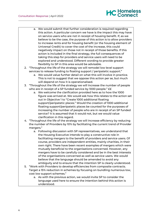## HC Homeless

- a. We would submit that further consideration is required regarding this action. A particular concern we have is the impact this may have on service users who are not in receipt of housing benefit. If, as we believe to be the case, the purpose of this action is to allow providers to increase rents and for housing benefit (or the housing element of Universal Credit) to cover the cost of the increase, this could negatively impact on those not in receipt of those benefits. If this action is included in the final strategy, the full consequences of taking this step for providers and service users will need to be explored and understood. Different wording to provide greater flexibility to SP in this area would be advisable.
- 2. "Throughout the life of the strategy we will remodel low level support services to release funding to floating support / peripatetic support."
	- a. We would value further detail on what this will involve in practice. This is not to suggest that we oppose this action per se, but much will depend on how it is operationalised.
- 3. "Throughout the life of the strategy we will Increase the number of people who are in receipt of a SP funded service by 1000 people." EE
	- a. We welcome the clarification provided here as to how the 1000 figure was arrived at. We would ask how this relates to the action set out in Objective 1 to "Create 1000 additional floating support/peripatetic places." Would the creation of 1000 additional floating support/peripatetic places be counted for the purposes of increasing the number of people who are in receipt of an SP funded service? It is assumed that it would not, but we would value clarification in this regard.
- 4. "Throughout the life of the strategy we will Increase efficiency by reducing the number of Providers by 10% by facilitating the current trend of Provider mergers."
	- a. Following discussion with SP representatives, we understand that the Housing Executive intends to play a constructive role in facilitating mergers to the benefit of providers and service users. Of course, providers are independent entities, mainly charities, in their own right. There have been recent examples of mergers which were mutually beneficial to the organisations concerned. However, any mergers have to be carefully considered and be in the best interests of the organisations concerned as well as service users. We would believe that the language should be amended to avoid any ambiguity and to ensure that the intention SP is clearly understood.
- 5. "Work with Providers to develop efficiencies from composite contracts. Target a 15% reduction in schemes by focusing on bundling numerous low, cost low support schemes."
	- a. As with the previous action, we would invite SP to consider the language used here to ensure the intention behind this action is understood.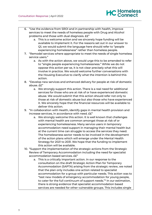

- 6. "Use the evidence from SROI and in partnership with health, improve services to meet the needs of homeless people with Drug and Alcohol problems and those with dual diagnosis. ££"
	- a. This is a welcome action and we sincerely hope funding will be available to implement it. For the reasons set out in our answer to Q1, we would submit the language here should refer to "people experiencing homelessness" rather than homeless people.
- 7. "Remodel services where appropriate to meet the needs of single homeless service users."
	- a. As with the action above, we would urge this to be amended to refer to "single people experiencing homelessness." While we do not oppose this action per se, it is not clear precisely what this will involve in practice. We would welcome further conversations with the Housing Executive to clarify what the intention is behind this action.
- 8. "Develop new services and enhanced delivery for people at risk of domestic abuse. ££"
	- a. We strongly support this action. There is a real need for additional services for those who are at risk of or have experienced domestic abuse. We would submit that this action should refer not only to those at risk of domestic abuse but also those who have experienced it. We sincerely hope that the financial resources will be available to deliver this action.
- 9. "In collaboration with Health, identify gaps in mental health provision and increase services, in accordance with need. ££"
	- a. We strongly welcome this action. It is well known that challenges with mental health are common amongst those at risk of or experiencing homelessness. Many service users in temporary accommodation need support in managing their mental health but at the current time can struggle to access the services they need. The homelessness sector needs to be involved in the development of the action plans which will emerge under the Mental Health Strategy for 2021 to 2031. We hope that the funding to implement this action will be available.
- 10. "Support the implementation of the strategic actions from the Strategic Review of Temporary Accommodation including the need for specialist accommodation based services. ££"
	- a. This is a critically important action. In our response to the consultation on the draft Strategic Action Plan for Temporary Accommodation (SAPTA) arising from the strategic review, we noted that the plan only includes one action related to specialist accommodation for a group with particular needs. This action was to "test new models of emergency accommodation for young people, to cater for the full continuum of support needs."<sup>3</sup> In our estimation, there is strong evidence that specialist accommodation based services are needed for other vulnerable groups. This includes single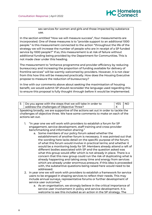sex services for women and girls and those impacted by substance use.

In the section entitled "How we will measure success", four measurements are incorporated. One of these measures is to "provide support to an additional 1000 people." Is this measurement connected to the action "throughout the life of the strategy we will increase the number of people who are in receipt of a SP funded service by 1000 people?" If so, this measurement is at risk of failure without additional funding being provided by the Department for Communities. This is not made clear under this heading.

The measurement to "enhance programme and provider efficiency by reducing bureaucracy and increasing the proportion of funding available for delivery of frontline services" will be warmly welcomed by providers. However, it is not clear from this how this will be measured practically. How does the Housing Executive propose to measure the reduction of bureaucracy?

In line with our comments above about seeking the maximisation of housing benefit, we would submit SP should reconsider the language used regarding this to ensure this proposal is fully thought through before it would be implemented.

| 5   Do you agree with the steps that we will take in order to | YES NO |  |
|---------------------------------------------------------------|--------|--|
| address the challenges of Objective Three?                    |        |  |

Speaking broadly, we are supportive of the actions set out in order to tackle the challenges of objective three. We have some comments to make on each of the actions set out.

- 1. "In year one we will work with providers to establish a forum for SP engagement, service development, staff training and cross-provider benchmarking and information sharing."
	- a. Some members of our policy forum asked whether the establishment of another forum is necessary. It was pointed out that the wording here lacks detail on the specific purpose of the forum; of what this forum would involve in practical terms; and whether it would be a monitoring body for SP. Members already attend a raft of different bodies associated with SP and the question asked was what this group would offer which is not already in place. There is a concern that this new group could run the risk of duplicating what is already happening and taking away time and energy from services which are already under enormous pressure. If this idea is proceeded with, the substantive questions being raised here would need to be addressed.
- 2. In year one we will work with providers to establish a framework for service users to be engaged in shaping services to reflect their needs. This may include annual surveys, representative forums or further development of service user outcomes."
	- a. As an organisation, we strongly believe in the critical importance of service user involvement in policy and service development. It is welcome to see this included as an action in the SP strategy. The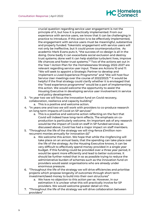

crucial question regarding service user engagement is not the principle of it, but how it is practically implemented. From our experience with service users, we know that it can be challenging in practice to introduce. If this action is to be effectively implemented, the engagement with service users must be meaningful, substantive and properly funded. Tokenistic engagement with service users will not only be ineffective, but it could prove counterproductive. As academic Mark Evans puts it, "the success of co-design is all in the doing. Done badly it can exacerbate social exclusion and destroy trust systems; done well it can help stabilize turbulent lives, improve life chances and foster trust systems."*<sup>4</sup>* Two of the actions set out in the Year 1 Action Plan for the Homelessness Strategy 2022-2027 are relevant regarding service user input. These are Actions 10 and 11: "We will seek to appoint a Strategic Partner to develop and implement a Lived Experience Programme" and "We will host four Service User meetings over the course of 2022/2023." 5 It would be helpful if the final strategy could clarify whether it is envisaged that the "lived experience programme" would be a part of implementing this action. We would welcome the opportunity to assist the Housing Executive in developing service user involvement in service and policy development.

- 3. "In year two we will focus the innovation fund on Covid recovery,
	- collaboration, resilience and capacity building"
		- a. This is a positive and welcome action.
- 4. "In years one and two we will work with providers to co-produce research on long term impacts of Covid on SP services"
	- a. This is a positive and welcome action reflecting on the fact that Covid will indeed have long-term effects. The emphasis on coproduction is particularly welcome. An important ask of any research would be the impact of Covid on staff in SP funded services; as discussed above, Covid has had a major impact on staff members.
- 5. "Throughout the life of the strategy we will ring-fence £1million nonrecurrent monies annually for innovation ££"
	- a. We welcome this action. We hope that while the ringfencing will take place on an annual basis, that the spending can take place over the life of the strategy. As the Housing Executive knows, it can be very difficult to effectively spend money provided in a single year budget. If this funding could be provided over a three year period, it would be spent more efficiently and lead to better outcomes. It should be further noted that in so as possible trying to reduce the administrative burden of schemes such as the innovation fund on providers would assist organisations who are already under enormous pressure.
- 6. "Throughout the life of the strategy we will drive efficiencies and prioritise projects which propose longevity of outcomes through short term investment/seed money to build into their own structures"
	- a. We have no objection to this action per se. However, in our estimation it is unclear what this will practically involve for SP providers. We would welcome greater detail on this.
- 7. "Throughout the life of the strategy we will drive collaboration between providers"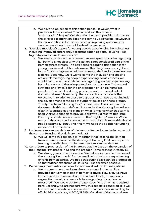

- a. We have no objection to this action per se. However, what in practice will this involve? To what end will this drive to "collaboration" be put? Collaboration between providers simply for the sake of collaboration does not seem to us advisable. However, if the collaboration is for the purposes of improving outcomes for service users then this would indeed be welcome.
- 8. "Develop models of support for young people experiencing homelessness including improved emergency accommodation options, Housing First, Nightstop and shared tenancies ££"
	- a. We welcome this action. However, several questions arise regarding it. Firstly, it is not clear why this action is not considered part of the homelessness stream. The box ticked regarding this action is for young people and not homelessness. This likely is an oversight and in the final strategy we would recommend the box for homelessness is ticked. Secondly, while we welcome the inclusion of a specific action related to young people experiencing homelessness, we would recommend a similar action regarding women experiencing homelessness and those impacted by substance use. The second strategic priority calls for the prioritisation of "single homeless people with alcohol and drug problems; and women at risk of domestic abuse." Admittedly, there are actions included other objectives in relation to these two groups, but these do not include the development of models of support focused on these groups. Thirdly, the term "Housing First" is used here. At no point in this document is this term defined. It is crucial the Housing Executive is clear in its strategies and plans on what it means when this term is used. A simple citation to provide clarity would resolve this issue. Fourthly, a similar issue arises with the "Nightstop" service. While many in the sector will know what is meant by this term, this should not be assumed. Fifthly and finally, we hope the additional funding needed will be available.
- 9. Implement recommendations of the lessons learned exercise in respect of the current Housing First delivery model ££
	- a. We welcome this action. It is important that lessons are learned from experience around the delivery of Housing First. We hope the funding is available to implement these recommendations.
- 10. Contribute to progression of the Strategic Outline Case on the expansion of the Housing First model in NI and the broader Homelessness Strategy ££
	- a. We strongly welcome this action. We believe in the effectiveness of the Housing First model for the small cohort who are experiencing chronic homelessness. We hope this outline case can be progressed so that further expansion of Housing First becomes possible.
- 11. Deliver improvements in services for women at risk of domestic abuse.
	- a. We of course would welcome improvements in the services provided for women at risk of domestic abuse. However, we have two comments to make about this action. Firstly, this action is vague. How would success or failure regarding this action be measured? We would ask for greater specificity on what is desired here. Secondly, we are not sure why this action is gendered. It is well known that domestic abuse can also impact on men. According to official PSNI statistics, in 2020/21 69% of victims of domestic abuse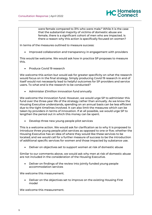were female compared to 31% who were male.<sup>6</sup> While it is the case that the substantial majority of victims of domestic abuse are female, there is a significant cohort of men who are impacted. Is there a reason why this action is specifically focused on women?

HC Homeless

In terms of the measures outlined to measure success:

• Improved collaboration and transparency in engagement with providers

This would be welcome. We would ask how in practice SP proposes to measure this.

• Produce Covid 19 research

We welcome this action but would ask for greater specificity on what the research would focus on in the final strategy. Simply producing Covid 19 research in and of itself would not necessarily lead to helpful outcomes for SP providers and service users. To what end is the research to be conducted?

• Administer £1million innovation fund annually

We welcome the innovation fund. However, we would urge SP to administer this fund over the three-year life of the strategy rather than annually. As we know the Housing Executive understands, spending on an annual basis can be less efficient due to the tight timelines involved. It can also limit the measures which can be taken by providers in terms of innovation. If at all possible, we would urge SP to lengthen the period out in which this money can be spent.

• Develop three new young people pilot services

This is a welcome action. We would ask for clarification as to why it is proposed to introduce three young people pilot services as opposed to one or five; whether the Housing Executive has an idea of where they would like these services to be located; and we would call for a further measure of success to be the introduction of additional specific services for women and those impacted by substance use.

• Deliver on objectives set to support women at risk of domestic abuse

Similar to our comments above, we would ask why men at risk of domestic abuse are not included in the consideration of the Housing Executive.

• Deliver on findings of the review into jointly funded young people accommodation services

We welcome this measurement.

• Deliver on the objectives set to improve on the existing Housing First model

We welcome this measurement.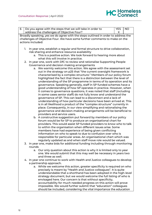

| 6 |                                                                                   | Do you agree with the steps that we will take in order to<br><b>YES</b><br><b>NO</b><br>address the challenges of Objective Four?<br>Χ |  |  |  |  |  |
|---|-----------------------------------------------------------------------------------|----------------------------------------------------------------------------------------------------------------------------------------|--|--|--|--|--|
|   | Broadly speaking, yes we do agree with the steps outlined in order to address the |                                                                                                                                        |  |  |  |  |  |
|   |                                                                                   | challenges of Objective Four. We have some further comments to make on the                                                             |  |  |  |  |  |
|   |                                                                                   | actions included:                                                                                                                      |  |  |  |  |  |
|   |                                                                                   |                                                                                                                                        |  |  |  |  |  |
|   | 1.                                                                                | In year one, establish a regular and formal structure to drive collaboration,                                                          |  |  |  |  |  |
|   |                                                                                   | risk sharing and enhance resource availability                                                                                         |  |  |  |  |  |
|   |                                                                                   | a. This is a positive action. We look forward to hearing more about                                                                    |  |  |  |  |  |
|   |                                                                                   | what this will involve in practice.                                                                                                    |  |  |  |  |  |
|   | 2.                                                                                | In year one, work with DfC to review and rationalise Supporting People                                                                 |  |  |  |  |  |
|   |                                                                                   | Governance and decision making arrangements                                                                                            |  |  |  |  |  |
|   |                                                                                   | a. We warmly welcome this action. We agree with the assessment set                                                                     |  |  |  |  |  |
|   |                                                                                   | out in the strategy on p25 that "the current oversight framework is                                                                    |  |  |  |  |  |
|   |                                                                                   | characterised by a complex structure." Members of our policy forum                                                                     |  |  |  |  |  |
|   |                                                                                   | highlighted the fact that there is a distinction between the level of                                                                  |  |  |  |  |  |
|   |                                                                                   | understanding of the SP programme in terms of its operation and its                                                                    |  |  |  |  |  |
|   |                                                                                   | governance. Speaking generally, staff in SP funded schemes have a                                                                      |  |  |  |  |  |
|   |                                                                                   | good understanding of how SP operates in practice. However, when                                                                       |  |  |  |  |  |
|   |                                                                                   | it comes to governance questions, it was noted that staff (including                                                                   |  |  |  |  |  |
|   |                                                                                   | in some cases senior staff) do not fully know and understand the                                                                       |  |  |  |  |  |
|   |                                                                                   | governance of SP. This can lead to a disconnect and a lack of                                                                          |  |  |  |  |  |
|   |                                                                                   | understanding of how particular decisions have been arrived at. This                                                                   |  |  |  |  |  |
|   |                                                                                   | is in all likelihood a product of the "complex structure" currently in                                                                 |  |  |  |  |  |
|   |                                                                                   | place. Consequently, in our view simplifying and rationalising the                                                                     |  |  |  |  |  |
|   |                                                                                   | governance and decision-making arrangements will be beneficial to                                                                      |  |  |  |  |  |
|   |                                                                                   | providers and service users.                                                                                                           |  |  |  |  |  |
|   |                                                                                   | b. A constructive suggestion put forward by members of our policy                                                                      |  |  |  |  |  |
|   |                                                                                   | forum would be for SP to produce an organisational chart for                                                                           |  |  |  |  |  |
|   |                                                                                   | providers. This would assist SP funded providers to know who to talk                                                                   |  |  |  |  |  |
|   |                                                                                   | to within the organisation when different issues arise. Some                                                                           |  |  |  |  |  |
|   |                                                                                   | members have had experience of being given conflicting<br>information on who to speak to due to confusion over who is                  |  |  |  |  |  |
|   |                                                                                   | responsible for particular areas. An organisational chart which was                                                                    |  |  |  |  |  |
|   |                                                                                   | regularly updated as and when staff move role would be valued.                                                                         |  |  |  |  |  |
|   |                                                                                   | 3. In year one, make bids for additional funding including through monitoring                                                          |  |  |  |  |  |
|   |                                                                                   | rounds                                                                                                                                 |  |  |  |  |  |
|   |                                                                                   | a. Our only question about this action is why it is limited only to year                                                               |  |  |  |  |  |
|   |                                                                                   | one. We would submit that this may well be necessary in years two                                                                      |  |  |  |  |  |
|   |                                                                                   | and three as well.                                                                                                                     |  |  |  |  |  |
|   |                                                                                   | 4. In year one continue to work with Health and Justice colleagues to develop                                                          |  |  |  |  |  |
|   |                                                                                   | a partnership approach.                                                                                                                |  |  |  |  |  |
|   |                                                                                   | a. While we welcome this action, greater specificity is required on who                                                                |  |  |  |  |  |
|   |                                                                                   | precisely is meant by "Health and Justice colleagues". It is quite                                                                     |  |  |  |  |  |
|   |                                                                                   | understandable that a shorthand has been adopted in the high-level                                                                     |  |  |  |  |  |
|   |                                                                                   | strategy document, but we would welcome the full listing of who is                                                                     |  |  |  |  |  |
|   |                                                                                   | envisaged here. Our concern is that without specificity,                                                                               |  |  |  |  |  |
|   |                                                                                   | accountability for much needed progress on this action will prove                                                                      |  |  |  |  |  |

impossible. We would further submit that "education" colleagues should be included, considering the vital importance the education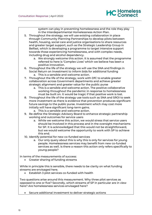

system can play in preventing homelessness and the role they play in the Interdepartmental Homelessness Action Plan.

- 5. Throughout the strategy, we will use existing collaboration in place through Community Planning Partnerships to develop pilots between health, housing, social care and justice organisations to share resources and greater target support, such as the Strategic Leadership Group in Belfast, which is developing a programme to target intensive support towards those experiencing homelessness, and with complex needs, including drug and alcohol dependency.
	- a. We strongly welcome this action. It is assumed that the programme referred to here is 'Complex Lives' which we believe has been a positive innovation.
- 6. Throughout the life of the strategy we will use the SNA and findings in Social Return on Investment to inform bids for additional funding a. This is a sensible and welcome action.
- 7. Throughout the life of the strategy, work with DfC to enable greater collaboration across Government departments and achieve greater strategic alignment and greater value for the public purse
	- a. This is a sensible and welcome action. The positive collaborative working throughout the pandemic in response to homelessness must be built on. It would be tragic if that positive work is lost.
- 8. Throughout the life of the strategy use tools such as SNA and SROI to seek more investment as there is evidence that prevention produces significant future savings to the public purse. Investment which may cost more initially will have significant long-term gains.
	- a. This is a sensible and welcome action.
- 9. Re-define the Strategic Advisory Board to enhance strategic partnership working and outcomes for service users
	- a. While we welcome this action, we would stress that service users should be involved in this process and in the oversight mechanisms for SP. It is acknowledged that this would not be straightforward, but we would welcome the opportunity to work with SP to achieve this end.
- 10. Identify potential for new co-funded services
	- a. Our only query about this is why this is only for services for young people. Homelessness services may benefit from new co-funded services as well. Is there a reason this action only refers specifically to young people?

In terms of the measurements of success:

• Greater sharing of funding streams

While in principle this is sensible, there needs to be clarity on what funding streams are envisaged here.

• Establish 3 pilot services co-funded with health

Two questions arise around this measurement. Why three pilot services as opposed to one or five? Secondly, which streams of SP in particular are in view here? Are homelessness services envisaged here?

• Secure additional investment to deliver strategic actions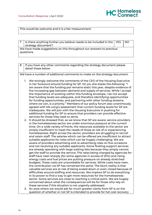

This would be welcome and it is a fair measurement.

|            | Is there anything further you believe needs to be included in the $\vert$ YES |  | NO. |  |  |  |
|------------|-------------------------------------------------------------------------------|--|-----|--|--|--|
|            |                                                                               |  |     |  |  |  |
|            | strategy document?                                                            |  |     |  |  |  |
|            |                                                                               |  |     |  |  |  |
|            | We have made suggestions on this throughout our answers to previous           |  |     |  |  |  |
|            |                                                                               |  |     |  |  |  |
| questions. |                                                                               |  |     |  |  |  |
|            |                                                                               |  |     |  |  |  |
|            |                                                                               |  |     |  |  |  |

8 | If you have any other comments regarding the strategy document please detail these below We have a number of additional comments to make on the strategy document: 1. We strongly welcome the comments of the CEO of the Housing Executive in her foreword around funding for SP. On p4, she states the following: "I am aware that the funding pot remains static this year, despite evidence of the increasing gap between demand and supply of services. While I accept the importance of working within this funding envelope, I do not accept that funding levels are adequate, and therefore identifying opportunities for funding opportunities, and partnering with other funding streams where we can, is a priority." Members of our policy forum also unanimously agreed with Ms Long's assessment that current funding levels for SP are inadequate. We will join with the Housing Executive in pushing for additional funding for SP to ensure that providers can provide effective services for those they seek to serve. 2. It should be stressed that, as we know that SP are aware, service providers in the homelessness sector are under enormous pressure at the current time. On a wide variety of fronts, the resources available to the sector are simply insufficient to meet the needs of those at risk of or experiencing homelessness. Right across the sector, providers are struggling to recruit and retain staff. The salaries which can be offered are insufficient to attract suitable applicants for roles which can be hugely challenging. We are aware of providers advertising and re-advertising roles on five occasions and not receiving any suitable applicants. Some floating support services are already operating with large waiting lists because they simply cannot get the staff to provide the service. The rates being charged by agencies for staff have risen sharply (for some agencies in excess of 20%) and rising energy costs and fuel prices are putting pressure on already stretched budgets. These costs are unavoidable for services. While costs have risen, the contribution via SP has remained the same. The blunt reality is that valuable services are at risk of being scaled down or even closed because of difficulties around staffing and resources. We implore SP to do everything in its power to find a way to get more resources for the homelessness sector. Some services are close to reaching a critical point. We are hugely concerned about what the consequences will be for those who rely on these services if this situation is not urgently addressed.

3. An area where we would ask for much greater clarity from SP is on the question of whether or not SP is intended to provide for full cost recovery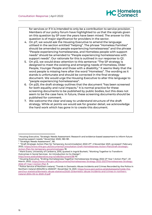for services or if it is intended to only be a contribution to service provision. Members of our policy forum have highlighted to us that the signals given on this question by SP over the years have been mixed. The answer to this question is of major significance for providers in the sector.

- 4. On p7, we would ask the Housing Executive to amend the language utilised in the section entitled "helping". The phrase "Homeless Families" should be amended to people experiencing homelessness" and the phrase "People experiencing homelessness, and Homeless people with support needs" should be amended to "People experiencing homelessness with support needs". Our rationale for this is outlined in our response to Q1.
- 5. On p12, we would draw attention to this sentence: "The SP strategy is designed to meet the existing and emerging needs of Homeless, Older People, Younger People and those with a disability." It seems likely that the word people is missing here after the word "Homeless". The wording as it stands is unfortunate and should be corrected in the final strategy document. We would urge the Housing Executive to alter this language to "people experiencing homelessness".
- 6. On p25, the draft strategy outlines that the document "has been screened for both equality and rural impacts." It is normal practice for these screening documents to be published by public bodies, but this does not seem to be the case here. In future, these screening documents should be published for comment.
- 7. We welcome the clear and easy to understand structure of the draft strategy. While at points we would ask for greater detail, we acknowledge the hard work which has gone in to create this document.

<http://www.aodcollaborative.org.nz/vdb/document/98> 10.

<sup>&</sup>lt;sup>1</sup> Housing Executive, "Strategic Needs Assessment: Research and evidence-based assessment to inform future housing support needs," November 2020, 180-181.

<sup>&</sup>lt;sup>2</sup> "Strategic Needs Assessment", 181.

<sup>3</sup> "Draft Strategic Action Plan for Temporary Accommodation 2022-27", 2 November 2021, accessed 1 February 2022, [https://www.nihe.gov.uk/Documents/Consultation-Draft-Homelessness-Action-Plan/Draft-Strategic-](https://www.nihe.gov.uk/Documents/Consultation-Draft-Homelessness-Action-Plan/Draft-Strategic-Action-Plan-for-temporary-accommod.aspx)[Action-Plan-for-temporary-accommod.aspx](https://www.nihe.gov.uk/Documents/Consultation-Draft-Homelessness-Action-Plan/Draft-Strategic-Action-Plan-for-temporary-accommod.aspx) 18.

<sup>4</sup> Mark Evans, University of Canberra, 2015, quoted in Ingrid Burkett, "Working Together to Transform Outcomes in Social Services: An Introduction to Co-Design",

 $^5$  Housing Executive, "Ending Homelessness Together Homelessness Strategy 2022-27 Year 1 Action Plan", 23  $\,$ March, 2022, [https://www.nihe.gov.uk/Documents/Homelessness-Strategy-2022-2027/Homelessness-Strategy-](https://www.nihe.gov.uk/Documents/Homelessness-Strategy-2022-2027/Homelessness-Strategy-2022-27-Year-1-Action-Plan)[2022-27-Year-1-Action-Plan](https://www.nihe.gov.uk/Documents/Homelessness-Strategy-2022-2027/Homelessness-Strategy-2022-27-Year-1-Action-Plan) 3.

 $6$  Police Service of Northern Ireland, "Trends in Domestic Abuse Incidents and Crimes Recorded by the Police in Northern Ireland 2004/05 to 2020/21", November 12, 2021, [https://www.psni.police.uk/globalassets/inside-the](https://www.psni.police.uk/globalassets/inside-the-psni/our-statistics/domestic-abuse-statistics/2020-21/domestic-abuse-incidents-and-crimes-in-northern-ireland-2004-05-to-2020-21.pdf)[psni/our-statistics/domestic-abuse-statistics/2020-21/domestic-abuse-incidents-and-crimes-in-northern](https://www.psni.police.uk/globalassets/inside-the-psni/our-statistics/domestic-abuse-statistics/2020-21/domestic-abuse-incidents-and-crimes-in-northern-ireland-2004-05-to-2020-21.pdf)[ireland-2004-05-to-2020-21.pdf](https://www.psni.police.uk/globalassets/inside-the-psni/our-statistics/domestic-abuse-statistics/2020-21/domestic-abuse-incidents-and-crimes-in-northern-ireland-2004-05-to-2020-21.pdf)